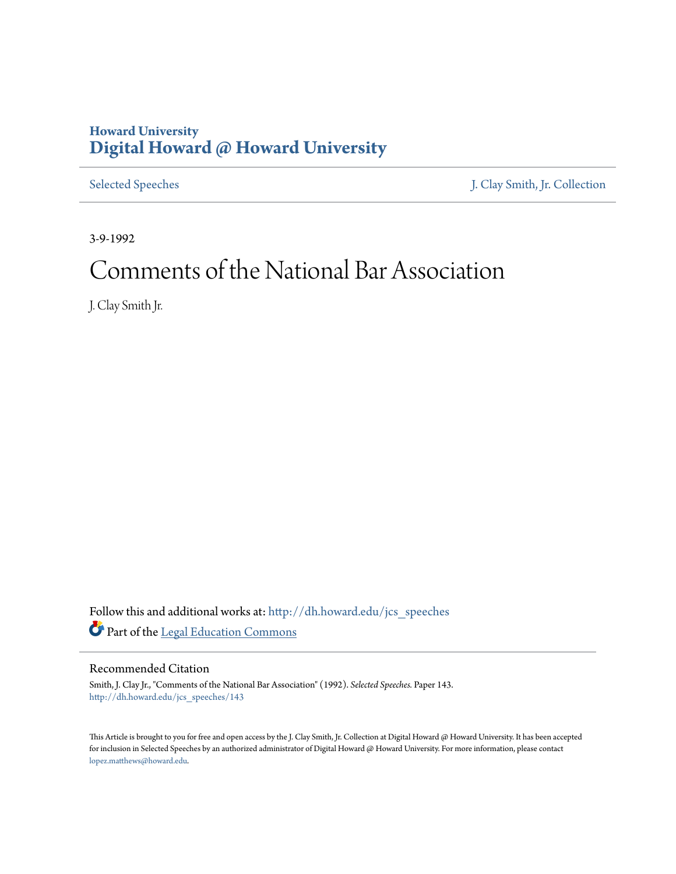## **Howard University [Digital Howard @ Howard University](http://dh.howard.edu?utm_source=dh.howard.edu%2Fjcs_speeches%2F143&utm_medium=PDF&utm_campaign=PDFCoverPages)**

[Selected Speeches](http://dh.howard.edu/jcs_speeches?utm_source=dh.howard.edu%2Fjcs_speeches%2F143&utm_medium=PDF&utm_campaign=PDFCoverPages) [J. Clay Smith, Jr. Collection](http://dh.howard.edu/jcsmith?utm_source=dh.howard.edu%2Fjcs_speeches%2F143&utm_medium=PDF&utm_campaign=PDFCoverPages)

3-9-1992

# Comments of the National Bar Association

J. Clay Smith Jr.

Follow this and additional works at: [http://dh.howard.edu/jcs\\_speeches](http://dh.howard.edu/jcs_speeches?utm_source=dh.howard.edu%2Fjcs_speeches%2F143&utm_medium=PDF&utm_campaign=PDFCoverPages) Part of the [Legal Education Commons](http://network.bepress.com/hgg/discipline/857?utm_source=dh.howard.edu%2Fjcs_speeches%2F143&utm_medium=PDF&utm_campaign=PDFCoverPages)

## Recommended Citation

Smith, J. Clay Jr., "Comments of the National Bar Association" (1992). *Selected Speeches.* Paper 143. [http://dh.howard.edu/jcs\\_speeches/143](http://dh.howard.edu/jcs_speeches/143?utm_source=dh.howard.edu%2Fjcs_speeches%2F143&utm_medium=PDF&utm_campaign=PDFCoverPages)

This Article is brought to you for free and open access by the J. Clay Smith, Jr. Collection at Digital Howard @ Howard University. It has been accepted for inclusion in Selected Speeches by an authorized administrator of Digital Howard @ Howard University. For more information, please contact [lopez.matthews@howard.edu.](mailto:lopez.matthews@howard.edu)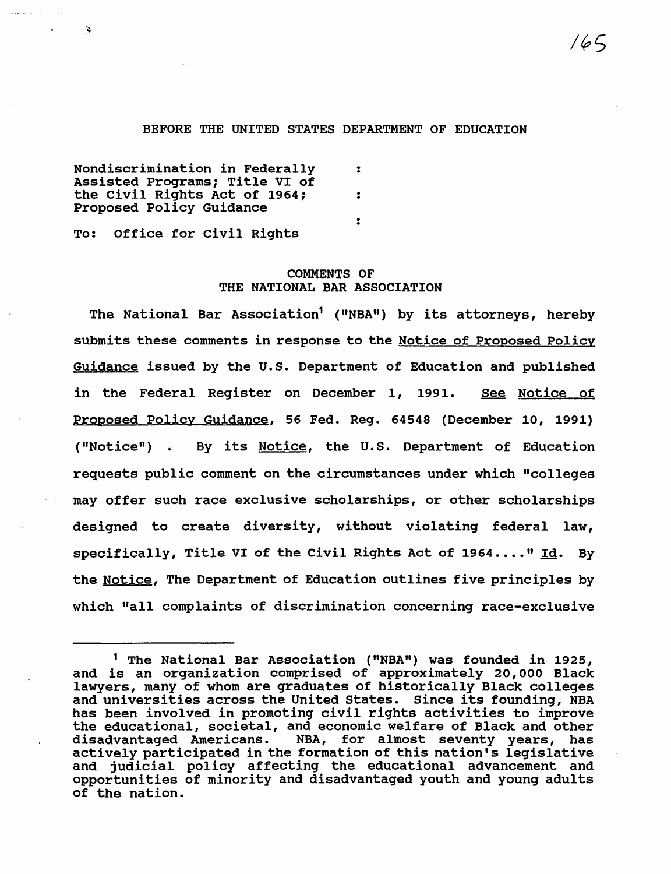#### BEFORE THE UNITED STATES DEPARTMENT OF EDUCATION

Nondiscrimination in Federally : Assisted Programs; Title VI of the Civil Rights Act of 1964; : Proposed Policy Guidance  $\ddot{\cdot}$ 

To: Office for civil Rights

 $\mathbf{z}$ 

## COMMENTS OF THE NATIONAL BAR ASSOCIATION

The National Bar Association<sup>1</sup> ("NBA") by its attorneys, hereby submits these comments in response to the Notice of Proposed Policy Guidance issued by the U.S. Department of Education and published in the Federal Register on December 1, 1991. See Notice of Proposed Policy Guidance, 56 Fed. Reg. 64548 (December 10, 1991) ("Notice") . By its Notice, the U.S. Department of Education requests public comment on the circumstances under which "colleges may offer such race exclusive scholarships, or other scholarships designed to create diversity, without violating federal law, specifically, Title VI of the Civil Rights Act of  $1964...$ . "Id. By the Notice, The Department of Education outlines five principles by which "all complaints of discrimination concerning race-exclusive

<sup>&</sup>lt;sup>1</sup> The National Bar Association ("NBA") was founded in 1925, and is an organization comprised of approximately 20,000 Black lawyers, many of whom are graduates of historically Black colleges and universities across the United States. Since its founding, NBA has been involved in promoting civil rights activities to improve the educational, societal, and economic welfare of Black and other disadvantaged Americans. NBA, for almost seventy years, has actively participated in the formation of this nation's legislative and judicial policy affecting the educational advancement and opportunities of minority and disadvantaged youth and young adults of the nation.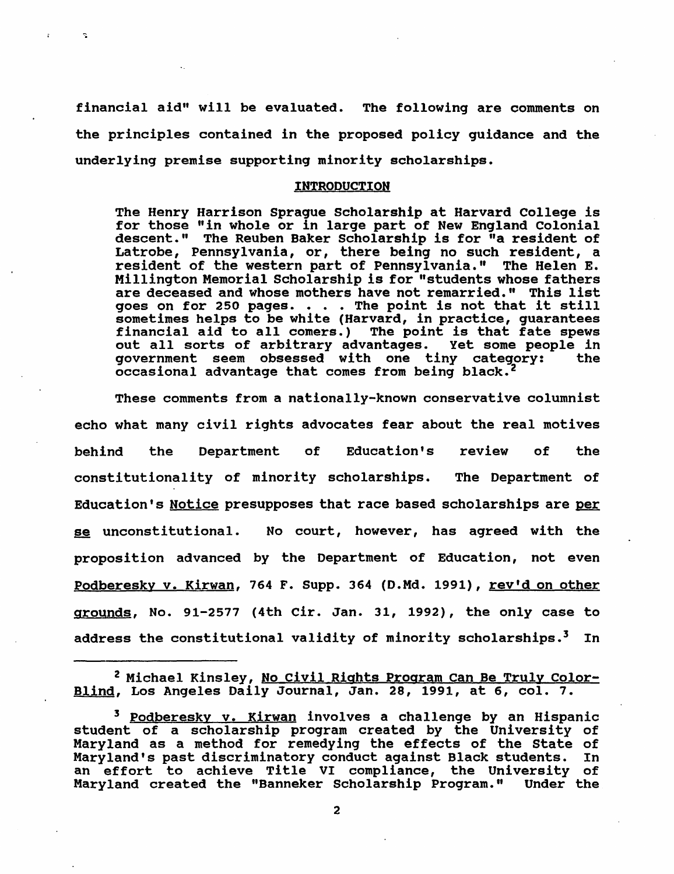financial aid" will be evaluated. The following are comments on the principles contained in the proposed policy guidance and the underlying premise supporting minority scholarships.

 $\mathbf{r}$ 

## INTRODUCTION

The Henry Harrison Sprague Scholarship at Harvard College is for those "in whole or in large part of New England Colonial descent." The Reuben Baker Scholarship is for "a resident of Latrobe, Pennsylvania, or, there being no such resident, a resident of the western part of Pennsylvania." The Helen E. Millington Memorial Scholarship is for "students whose fathers are deceased and whose mothers have not remarried." This list goes on for 250 pages.  $\cdots$  . The point is not that it still sometimes helps to be white (Harvard, in practice, guarantees<br>financial aid to all comers.) The point is that fate spews<br>out all sorts of arbitrary advantages. Yet some people in out all sorts of arbitrary advantages. Yet some people in government seem obsessed with one tiny category: occasional advantage that comes from being black. <sup>2</sup>

These comments from a nationally-known conservative columnist echo what many civil rights advocates fear about the real motives behind the Department of Education's review of the constitutionality of minority scholarships. The Department of Education's Notice presupposes that race based scholarships are per se unconstitutional. No court, however, has agreed with the proposition advanced by the Department of Education, not even Podberesky v. Kirwan, 764 F. Supp. 364 (D.Md. 1991), rev'd on other grounds, No. 91-2577 (4th Cir. Jan. 31, 1992), the only case to address the constitutional validity of minority scholarships.<sup>3</sup> In

<sup>&</sup>lt;sup>2</sup> Michael Kinsley, No Civil Rights Program Can Be Truly Color-Blind, Los Angeles Daily Journal, Jan. 28, 1991, at 6, col. 7.

<sup>&</sup>lt;sup>3</sup> Podberesky v. Kirwan involves a challenge by an Hispanic student of a scholarship program created by the University of Maryland as a method for remedying the effects of the State of Maryland's past discriminatory conduct against Black students. In an effort to achieve Title VI compliance, the University of<br>Maryland created the "Banneker Scholarship Program." Under the Maryland created the "Banneker Scholarship Program."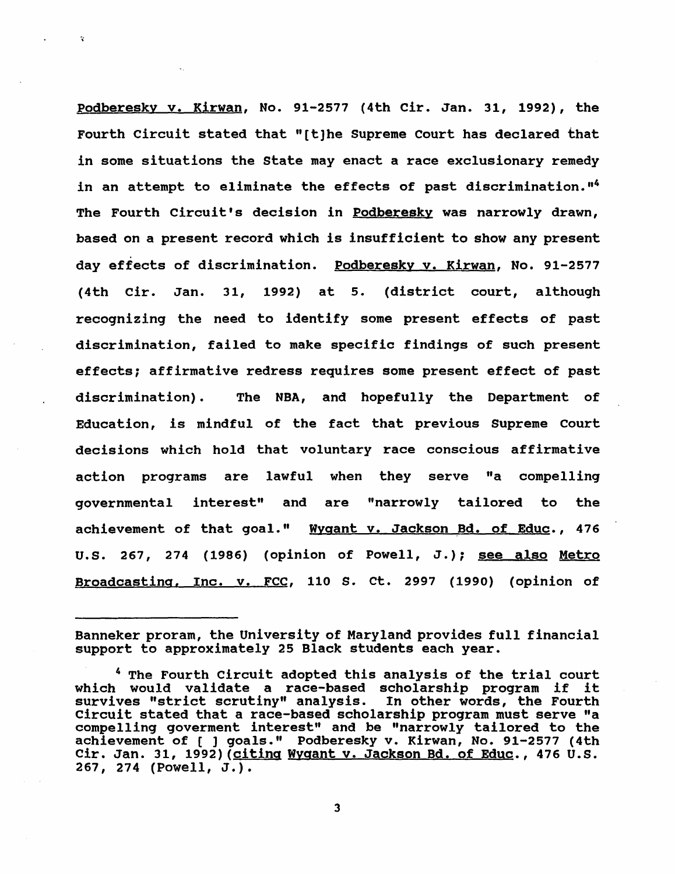podberesky v. Kirwan, No. 91-2577 (4th Cir. Jan. 31, 1992), the Fourth Circuit stated that "[t)he Supreme Court has declared that in some situations the State may enact a race exclusionary remedy in an attempt to eliminate the effects of past discrimination."<sup>4</sup> The Fourth Circuit's decision in Podberesky was narrowly drawn, based on a present record which is insufficient to show any present day effects of discrimination. Podberesky v. Kirwan, No. 91-2577 (4th Cir. Jan. 31, 1992) at 5. (district court, although recognizing the need to identify some present effects of past discrimination, failed to make specific findings of such present effects; affirmative redress requires some present effect of past discrimination). The NBA, and hopefully the Department of Education, is mindful of the fact that previous Supreme Court decisions which hold that voluntary race conscious affirmative action programs are lawful when they serve "a compelling governmental interest" and are "narrowly tailored to the achievement of that goal." Wygant v. Jackson Bd. of Educ., 476 U.S. 267, 274 (1986) (opinion of Powell, J.); see also Metro Broadcasting. Inc. v. FCC, 110 S. ct. 2997 (1990) (opinion of

 $\ddot{\mathbf{v}}$ 

Banneker proram, the University of Maryland provides full financial support to approximately 25 Black students each year.

<sup>4</sup> The Fourth Circuit adopted this analysis of the trial court which would validate a race-based scholarship program if it survives "strict scrutiny" analysis. In other words, the Fourth Circuit stated that a race-based scholarship program must serve "a compelling goverment interest" and be "narrowly tailored to the achievement of [ ] goals." Podberesky v. Kirwan, No. 91-2577 (4th Cir. Jan. 31, 1992) (citing Wygant v. Jackson Bd. of Educ., 476 U.S. 267, 274 (Powell, J.).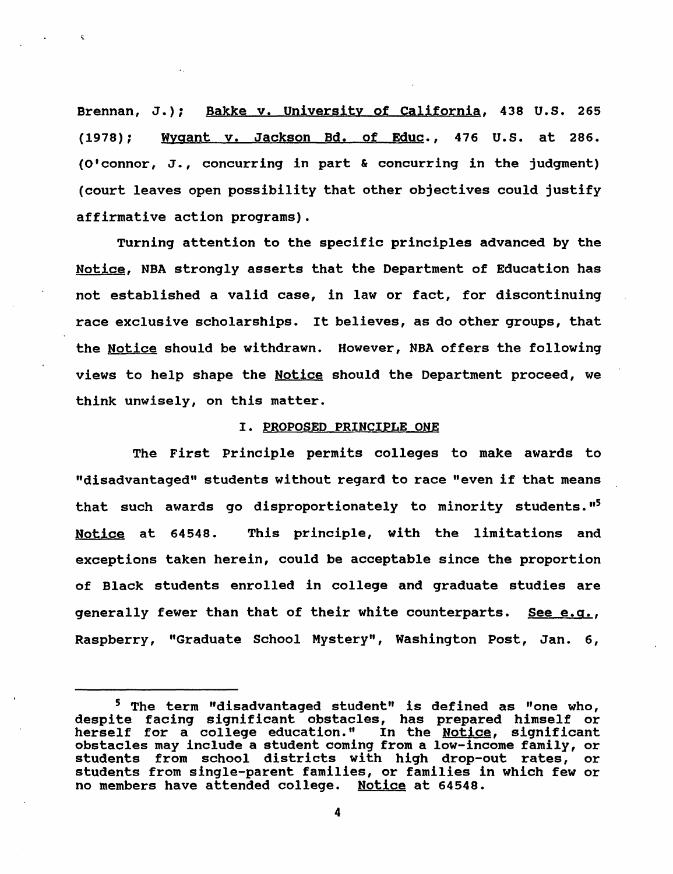Brennan, J.); Bakke v. University of California, 438 U.S. 265 (1978); Wyaant v. Jackson Bd. of Educ., 476 U.S. at 286. (O'connor, J., concurring in part & concurring in the judgment) (court leaves open possibility that other objectives could justify affirmative action programs).

Turning attention to the specific principles advanced by the Notice, NBA strongly asserts that the Department of Education has not established a valid case, in law or fact, for discontinuing race exclusive scholarships. It believes, as do other groups, that the Notice should be withdrawn. However, NBA offers the following views to help shape the Notice should the Department proceed, we think unwisely, on this matter.

## I. PROPOSED PRINCIPLE ONE

The First principle permits colleges to make awards to "disadvantaged" students without regard to race "even if that means that such awards go disproportionately to minority students.  $15$ Notice at 64548. This principle, with the limitations and exceptions taken herein, could be acceptable since the proportion of Black students enrolled in college and graduate studies are generally fewer than that of their white counterparts. See e.g., Raspberry, "Graduate School Mystery", Washington Post, Jan. 6,

<sup>&</sup>lt;sup>5</sup> The term "disadvantaged student" is defined as "one who, despite facing significant obstacles, has prepared himself or herself for a college education." In the Notice, significant obstacles may include a student coming from a low-income family, or students from school districts with high drop-out rates, or students from single-parent families, or families in which few or no members have attended college. Notice at 64548.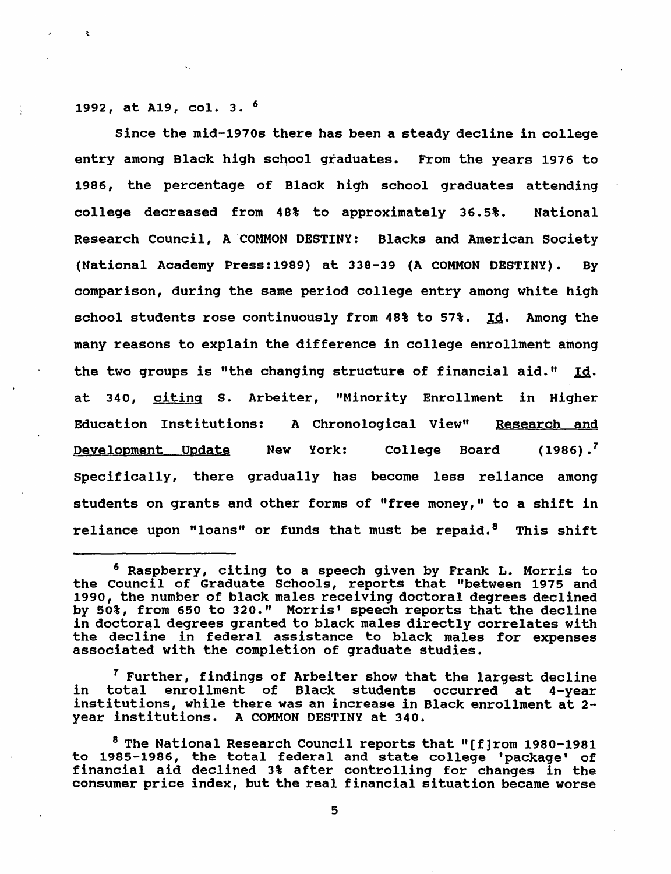1992, at A19, col. 3. 6

Since the mid-1970s there has been a steady decline in college entry among Black high school graduates. From the years 1976 to 1986, the percentage of Black high school graduates attending college decreased from 48% to approximately 36.5%. National Research Council, A COMMON DESTINY: Blacks and American Society (National Academy Press:1989) at 338-39 (A COMMON DESTINY). By comparison, during the same period college entry among white high school students rose continuously from 48% to 57%. Id. Among the many reasons to explain the difference in college enrollment among the two groups is "the changing structure of financial aid." Id. at 340, citing s. Arbeiter, "Minority Enrollment in Higher Education Institutions: A Chronological View" Research and Development Update New York: College Board (1986).<sup>7</sup> specifically, there gradually has become less reliance among students on grants and other forms of "free money," to a shift in reliance upon "loans" or funds that must be repaid.<sup>8</sup> This shift

<sup>7</sup> Further, findings of Arbeiter show that the largest decline<br>in total enrollment of Black students occurred at 4-year Black students occurred at 4-year institutions, while there was an increase in Black enrollment at 2 year institutions. A COMMON DESTINY at 340.

<sup>6</sup> Raspberry, citing to a speech given by Frank L. Morris to the council of Graduate Schools, reports that "between 1975 and 1990, the number of black males receiving doctoral degrees declined by 50%, from 650 to 320." Morris' speech reports that the decline in doctoral degrees granted to black males directly correlates with the decline in federal assistance to black males for expenses associated with the completion of graduate studies.

<sup>8</sup> The National Research Council reports that "[f]rom 1980-1981 to 1985-1986, the total federal and state college 'package' of financial aid declined 3% after controlling for changes in the consumer price index, but the real financial situation became worse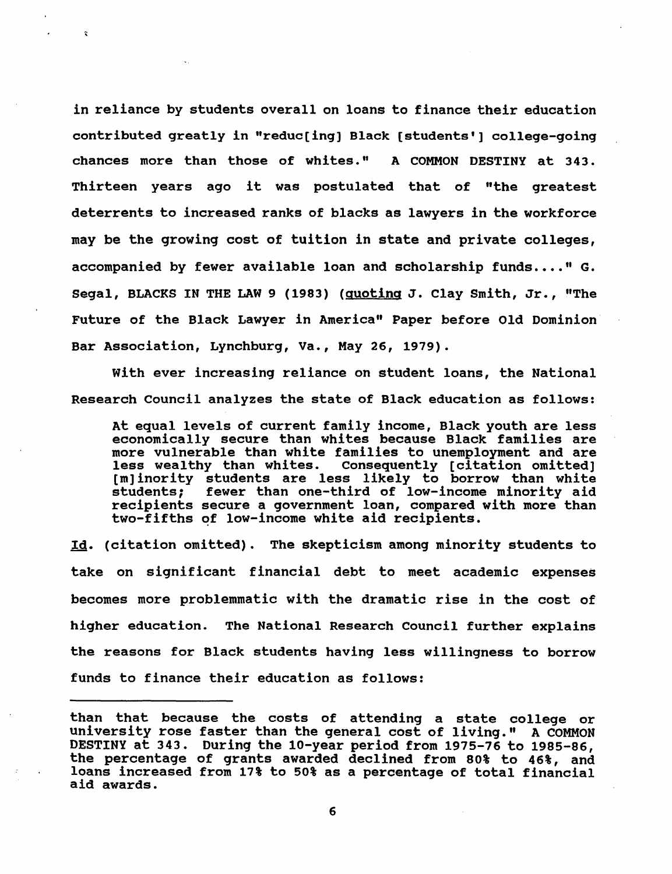in reliance by students overall on loans to finance their education contributed greatly in "reduc[ing] Black [students'] college-going chances more than those of whites." A COMMON DESTINY at 343. Thirteen years ago it was postulated that of "the greatest deterrents to increased ranks of blacks as lawyers in the workforce may be the growing cost of tuition in state and private colleges, accompanied by fewer available loan and scholarship funds...."  $G$ . Segal, BLACKS IN THE LAW 9 (1983) (Quoting J. Clay Smith, Jr., "The Future of the Black Lawyer in America" Paper before Old Dominion Bar Association, Lynchburg, Va., May 26, 1979).

 $\ddot{\mathbf{r}}$ 

with ever increasing reliance on student loans, the National Research council analyzes the state of Black education as follows:

At equal levels of current family income, Black youth are less economically secure than whites because Black families are more vulnerable than white families to unemployment and are here varietable than white families to an<br>employment and are empt wearding than whitest consequency (creation carected) students; fewer than one-third of low-income minority aid recipients secure a government loan, compared with more than two-fifths of low-income white aid recipients.

Id. (citation omitted). The skepticism among minority students to take on significant financial debt to meet academic expenses becomes more problemmatic with the dramatic rise in the cost of higher education. The National Research Council further explains the reasons for Black students having less willingness to borrow funds to finance their education as follows:

than that because the costs of attending a state college or university rose faster than the general cost of living." A COMMON DESTINY at 343. During the 10-year period from 1975-76 to 1985-86, the percentage of grants awarded declined from 80% to 46%, and loans increased from 17% to 50% as a percentage of total financial aid awards.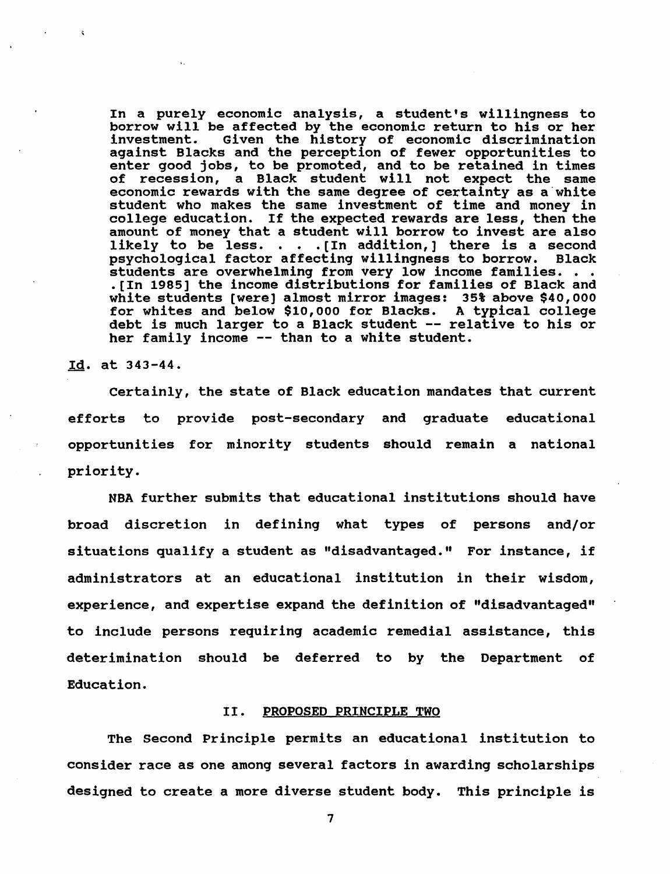In a purely economic analysis, a student's willingness to borrow will be affected by the economic return to his or her investment. Given the history of economic discrimination Given the history of economic discrimination against Blacks and the perception of fewer opportunities to enter good jobs, to be promoted, and to be retained in times of recession, a Black student will not expect the same economic rewards with the same degree of certainty as a white student who makes the same investment of time and money in college education. If the expected rewards are less, then the college equation. It the expected rewards are less, then the<br>amount of money that a student will borrow to invest are also<br>likely to be less. . . . [In addition,] there is a second<br>neughological factor affecting willingnes likely to be less. . . . [In addition,] there is a second psychological factor affecting willingness to borrow. Black students are overwhelming from very low income families. . . • [In 1985] the income distributions for families of Black and white students [were] almost mirror images: 35% above \$40,000 for whites and below \$10,000 for Blacks. A typical college debt is much larger to a Black student -- relative to his or her family income -- than to a white student.

Id. at 343-44.

Certainly, the state of Black education mandates that current efforts to provide post-secondary and graduate educational opportunities for minority students should remain a national priority.

NBA further submits that educational institutions should have broad discretion in defining what types of persons and/or situations qualify a student as "disadvantaged." For instance, if administrators at an educational institution in their wisdom, experience, and expertise expand the definition of "disadvantaged" to include persons requiring academic remedial assistance, this deterimination should be deferred to by the Department of Education.

### II. PROPOSED PRINCIPLE TWO

The Second Principle permits an educational institution to consider race as one among several factors in awarding scholarships designed to create a more diverse student body. This principle is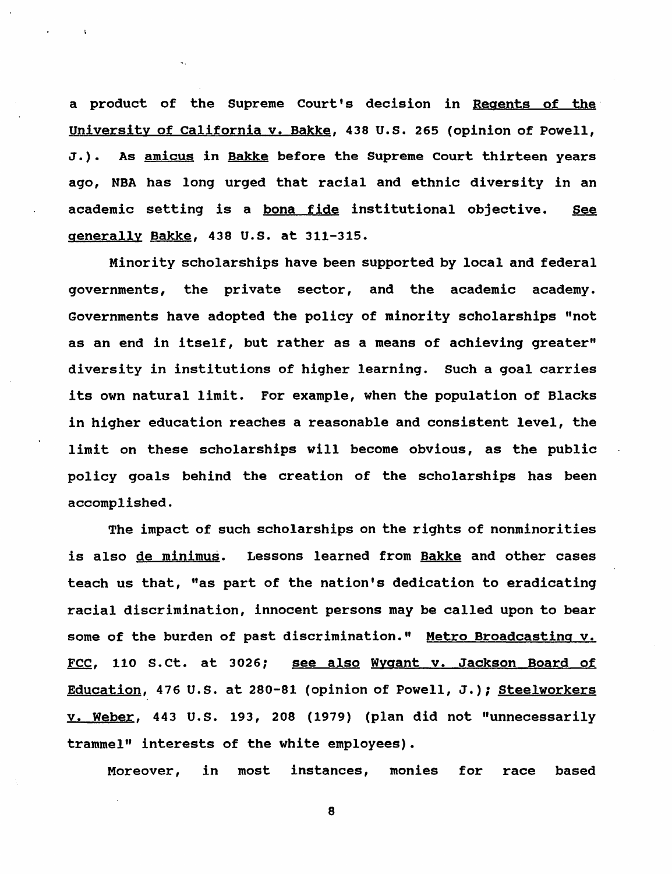a product of the Supreme Court's decision in Regents of the university of California v. Bakke, 438 U.S. 265 (opinion of Powell, J.). As amicus in Bakke before the Supreme Court thirteen years ago, NBA has long urged that racial and ethnic diversity in an academic setting is a bona fide institutional objective. See generally Bakke, 438 U.S. at 311-315.

Minority scholarships have been supported by local and federal governments, the private sector, and the academic academy. Governments have adopted the policy of minority scholarships "not as an end in itself, but rather as a means of achieving greater" diversity in institutions of higher learning. such a goal carries its own natural limit. For example, when the population of Blacks in higher education reaches a reasonable and consistent level, the limit on these scholarships will become obvious, as the public policy goals behind the creation of the scholarships has been accomplished.

The impact of such scholarships on the rights of nonminorities is also de minimus. Lessons learned from Bakke and other cases teach us that, "as part of the nation's dedication to eradicating racial discrimination, innocent persons may be called upon to bear some of the burden of past discrimination." Metro Broadcasting v. FCC, 110 S.ct. at 3026; see also Wygant v. Jackson Board of Education, 476 U.S. at 280-81 (opinion of Powell, J.); Steelworkers v. Weber, 443 U.S. 193, 208 (1979) (plan did not "unnecessarily trammel" interests of the white employees).

Moreover, in most instances, monies for race based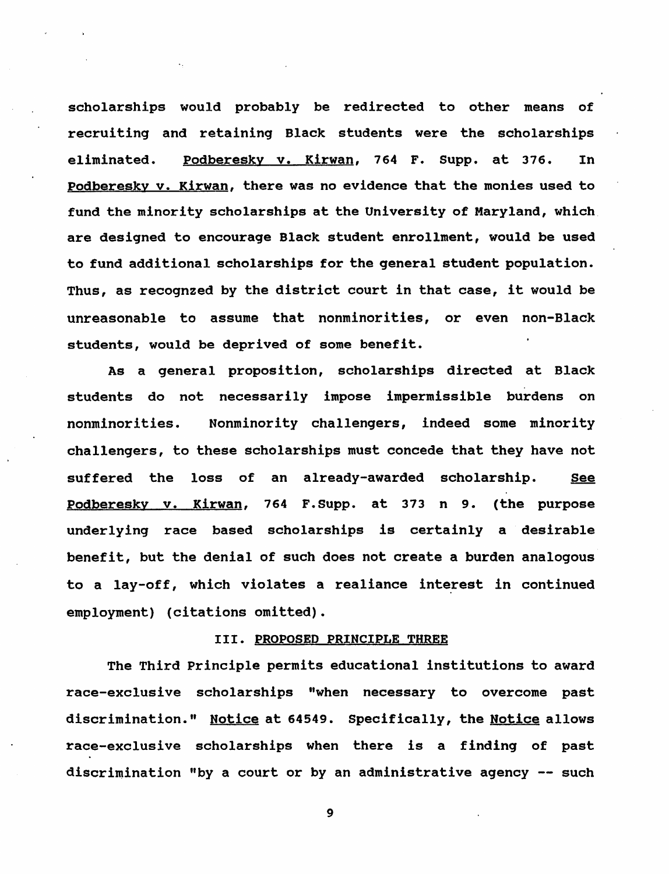scholarships would probably be redirected to other means of recruiting and retaining Black students were the scholarships eliminated. Podberesky v. Kirwan, 764 F. Supp. at 376. In Podberesky v. Kirwan, there was no evidence that the monies used to fund the minority scholarships at the University of Maryland, which. are designed to encourage Black student enrollment, would be used to fund additional scholarships for the general student population. Thus, as recognzed by the district court in that case, it would be unreasonable to assume that nonminorities, or even non-Black students, would be deprived of some benefit.

As a general proposition, scholarships directed at Black students do not necessarily impose impermissible burdens nonminorities. Nonminority challengers, indeed some minority challengers, to these scholarships must concede that they have not suffered the loss of an already-awarded scholarship. See Podberesky v. Kirwan, 764 F.Supp. at 373 n 9. (the purpose underlying race based scholarships is certainly a desirable benefit, but the denial of such does not create a burden analogous to a lay-off, which violates a realiance interest in continued employment) (citations omitted).

## III. PROPOSED PRINCIPLE THREE

The Third principle permits educational institutions to award race-exclusive scholarships "when necessary to overcome past discrimination." Notice at 64549. Specifically, the Notice allows race-exclusive scholarships when there is a finding of past discrimination "by a court or by an administrative agency  $-$  such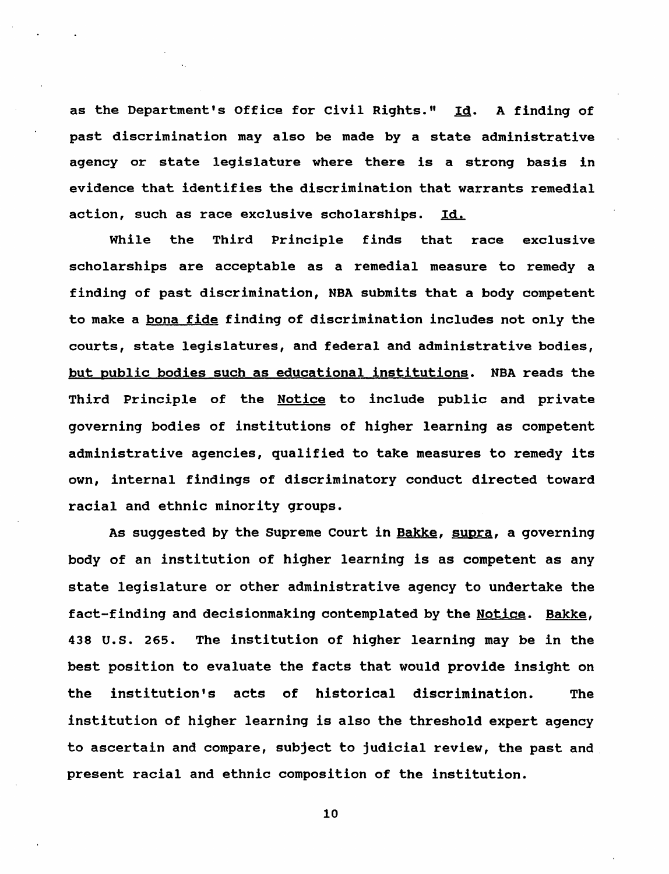as the Department's Office for civil Rights." Id. A finding of past discrimination may also be made by a state administrative agency or state legislature where there is a strong basis in evidence that identifies the discrimination that warrants remedial action, such as race exclusive scholarships. Id.

While the Third Principle finds that race exclusive scholarships are acceptable as a remedial measure to remedy a finding of past discrimination, NBA submits that a body competent to make a bona fide finding of discrimination includes not only the courts, state legislatures, and federal and administrative bodies, but public bodies such as educational institutions. NBA reads the Third Principle of the Notice to include public and private governing bodies of institutions of higher learning as competent administrative agencies, qualified to take measures to remedy its own, internal findings of discriminatory conduct directed toward racial and ethnic minority groups.

As suggested by the Supreme Court in Bakke, supra, a governing body of an institution of higher learning is as competent as any state legislature or other administrative agency to undertake the fact-finding and decisionmaking contemplated by the Notice. Bakke, 438 U.S. 265. The institution of higher learning may be in the best position to evaluate the facts that would provide insight on the institution's acts of historical discrimination. The institution of higher learning is also the threshold expert agency to ascertain and compare, subject to judicial review, the past and present racial and ethnic composition of the institution.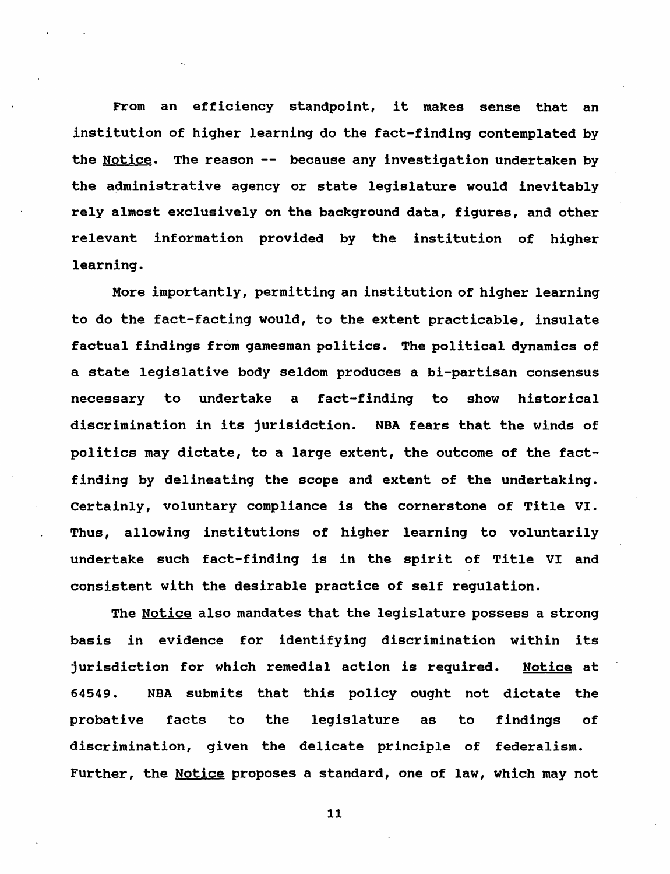From an efficiency standpoint, it makes sense that an institution of higher learning do the fact-finding contemplated by the Notice. The reason -- because any investigation undertaken by the administrative agency or state legislature would inevitably rely almost exclusively on the background data, figures, and other relevant information provided by the institution of higher learning.

More importantly, permitting an institution of higher learning to do the fact-facting would, to the extent practicable, insulate factual findings from gamesman politics. The political dynamics of a state legislative body seldom produces a bi-partisan consensus necessary to undertake a fact-finding to show historical discrimination in its jurisidction. NBA fears that the winds of politics may dictate, to a large extent, the outcome of the factfinding by delineating the scope and extent of the undertaking. certainly, voluntary compliance is the cornerstone of Title VI. Thus, allowing institutions of higher learning to voluntarily undertake such fact-finding is in the spirit of Title VI and consistent with the desirable practice of self regulation.

The Notice also mandates that the legislature possess a strong basis in evidence for identifying discrimination within its jurisdiction for which remedial action is required. Notice at 64549. NBA sUbmits that this policy ought not dictate the probative facts to the legislature as to findings of discrimination, given the delicate principle of federalism. Further, the Notice proposes a standard, one of law, which may not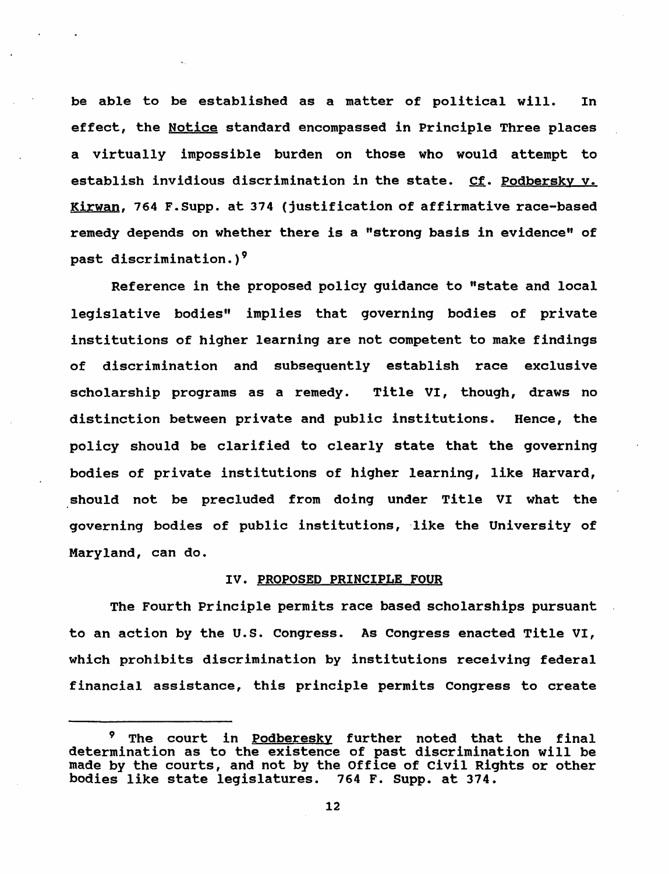be able to be established as a matter of political will. In effect, the Notice standard encompassed in Principle Three places a virtually impossible burden on those who would attempt to establish invidious discrimination in the state. Cf. Podbersky v. Kirwan, 764 F.Supp. at 374 (justification of affirmative race-based remedy depends on whether there is a "strong basis in evidence" of past discrimination.)<sup>9</sup>

Reference in the proposed policy guidance to "state and local legislative bodies" implies that governing bodies of private institutions of higher learning are not competent to make findings of discrimination and subsequently establish race exclusive scholarship programs as a remedy. Title VI, though, draws no distinction between private and public institutions. Hence, the policy should be clarified to clearly state that the governing bodies of private institutions of higher learning, like Harvard, should not be precluded from doing under Title VI what the governing bodies of public institutions, 'like the University of Maryland, can do.

#### IV. PROPOSED PRINCIPLE FOUR

The Fourth Principle permits race based scholarships pursuant to an action by the U.s. Congress. As Congress enacted Title VI, which prohibits discrimination by institutions receiving federal financial assistance, this principle permits Congress to create

<sup>&</sup>lt;sup>9</sup> The court in Podberesky further noted that the final determination as to the existence of past discrimination will be made by the courts, and not by the Office of civil Rights or other bodies like state legislatures. 764 F. Supp. at 374.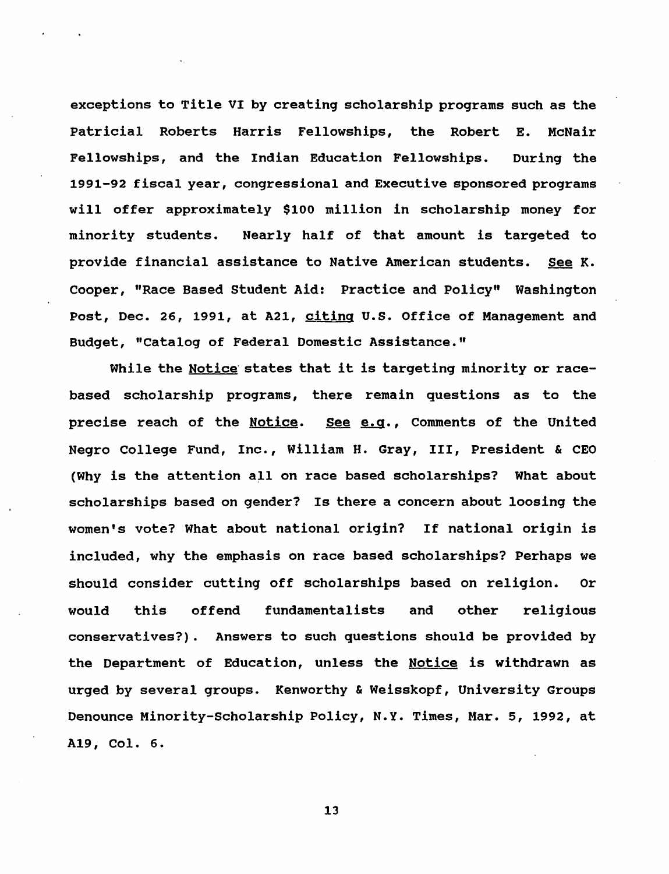exceptions to Title VI by creating scholarship programs such as the Patricial Roberts Harris Fellowships, the Robert E. McNair Fellowships, and the Indian Education Fellowships. During the 1991-92 fiscal year, congressional and Executive sponsored programs will offer approximately \$100 million in scholarship money for minority students. Nearly half of that amount is targeted to provide financial assistance to Native American students. See K. Cooper, "Race Based Student Aid: Practice and Policy" Washington Post, Dec. 26, 1991, at A21, citing U.S. Office of Management and Budget, "Catalog of Federal Domestic Assistance."

While the Notice states that it is targeting minority or racebased scholarship programs, there remain questions as to the precise reach of the Notice. See e.g., Comments of the United Negro College Fund, Inc., William H. Gray, III, President & CEO (Why is the attention all on race based scholarships? What about scholarships based on gender? Is there a concern about loosing the women's vote? What about national origin? If national origin is included, why the emphasis on race based scholarships? Perhaps we should consider cutting off scholarships based on religion. Or would this offend fundamentalists and other religious conservatives?). Answers to such questions should be provided by the Department of Education, unless the Notice is withdrawn as urged by several groups. Kenworthy & Weisskopf, University Groups Denounce Minority-Scholarship Policy, N.Y. Times, Mar. 5, 1992, at A19, Col. 6.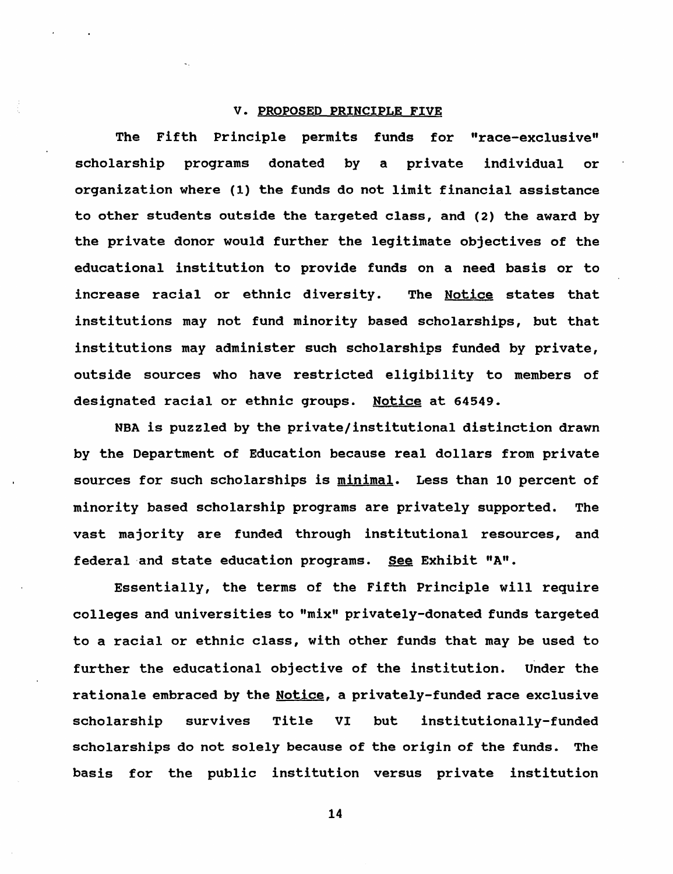## V. PROPOSED PRINCIPLE FIVE

The Fifth Principle permits funds for "race-exclusive" scholarship programs donated by a private individual or organization where (1) the funds do not limit financial assistance to other students outside the targeted class, and (2) the award by the private donor would further the legitimate objectives of the educational institution to provide funds on a need basis or to increase racial or ethnic diversity. The Notice states that institutions may not fund minority based scholarships, but that institutions may administer such scholarships funded by private, outside sources who have restricted eligibility to members of designated racial or ethnic groups. Notice at 64549.

NBA is puzzled by the private/institutional distinction drawn by the Department of Education because real dollars from private sources for such scholarships is minimal. Less than 10 percent of minority based scholarship programs are privately supported. The vast majority are funded through institutional resources, and federal and state education programs. See Exhibit "A".

Essentially, the terms of the Fifth Principle will require colleges and universities to "mix" privately-donated funds targeted to a racial or ethnic class, with other funds that may be used to further the educational objective of the institution. Under the rationale embraced by the Notice, a privately-funded race exclusive scholarship survives Title VI but institutionally-funded scholarships do not solely because of the origin of the funds. The basis for the public institution versus private institution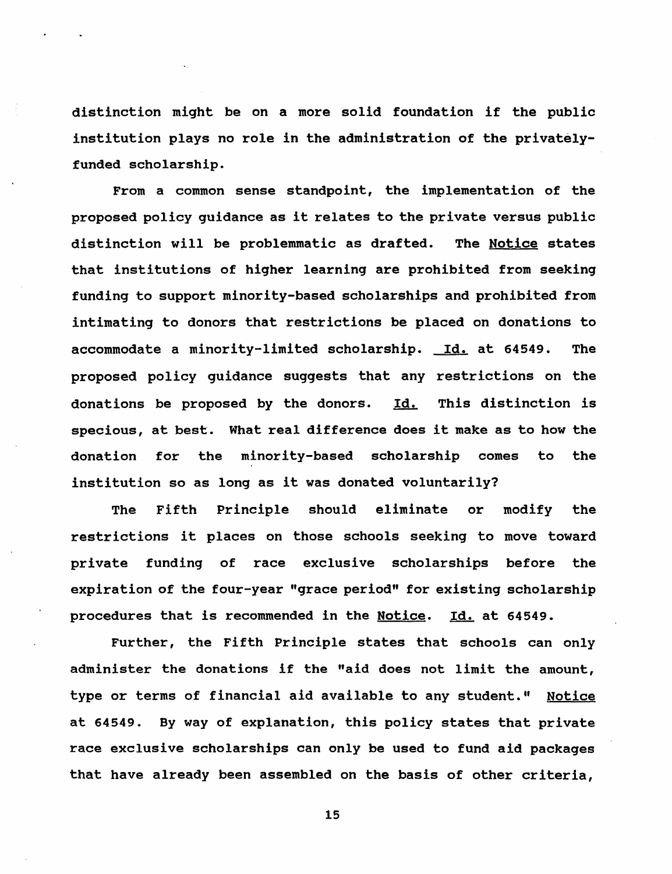distinction might be on a more solid foundation if the public institution plays no role in the administration of the privatelyfunded scholarship.

From a common sense standpoint, the implementation of the proposed policy guidance as it relates to the private versus public distinction will be problemmatic as drafted. The Notice states that institutions of higher learning are prohibited from seeking funding to support minority-based scholarships and prohibited from intimating to donors that restrictions be placed on donations to accommodate a minority-limited scholarship. Id. at 64549. The proposed policy guidance suggests that any restrictions on the donations be proposed by the donors. Id. This distinction is specious, at best. What real difference does it make as to how the donation for the minority-based scholarship comes to the institution so as long as it was donated voluntarily?

The Fifth Principle should eliminate or modify the restrictions it places on those schools seeking to move toward private funding of race exclusive scholarships before the expiration of the four-year "grace period" for existing scholarship procedures that is recommended in the Notice. Id. at 64549.

Further, the Fifth Principle states that schools can only administer the donations if the "aid does not limit the amount, type or terms of financial aid available to any student." Notice at 64549. By way of explanation, this policy states that private race exclusive scholarships can only be used to fund aid packages that have already been assembled on the basis of other criteria,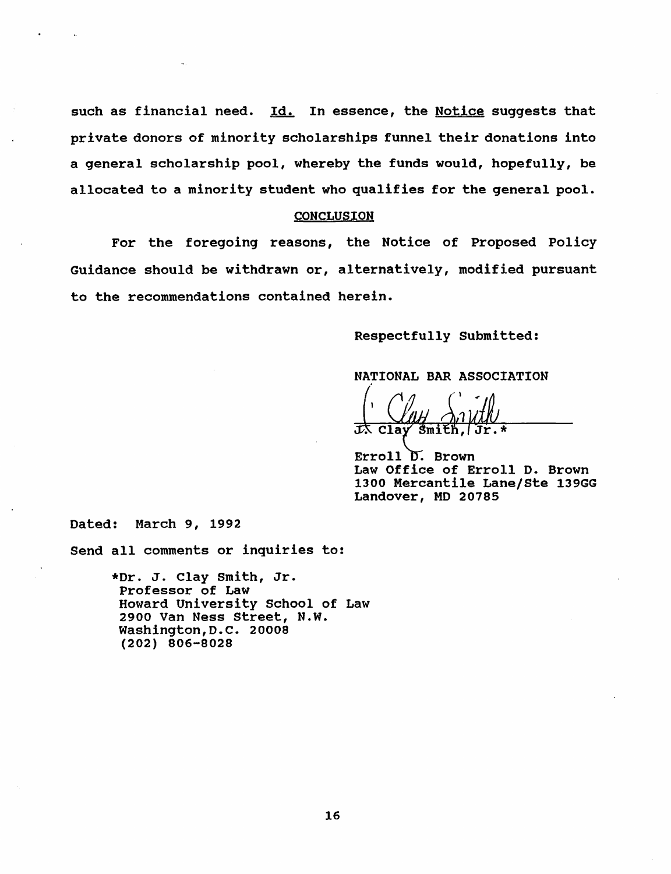such as financial need. Id. In essence, the Notice suggests that private donors of minority scholarships funnel their donations into a general scholarship pool, whereby the funds would, hopefully, be allocated to a minority student who qualifies for the general pool.

#### **CONCLUSION**

For the foregoing reasons, the Notice of Proposed Policy Guidance should be withdrawn or, alternatively, modified pursuant to the recommendations contained herein.

Respectfully Submitted:

NATIONAL BAR ASSOCIATION

 $C1av$ 

Erroll D. Brown Law Office of Erroll D. Brown 1300 Mercantile Lane/Ste 139GG Landover, MD 20785

Dated: March 9, 1992

Send all comments or inquiries to:

\*Dr. J. clay smith, Jr. Professor of Law Howard University School of Law 2900 Van Ness street, N.W. Washington,D.C. 20008 (202) 806-8028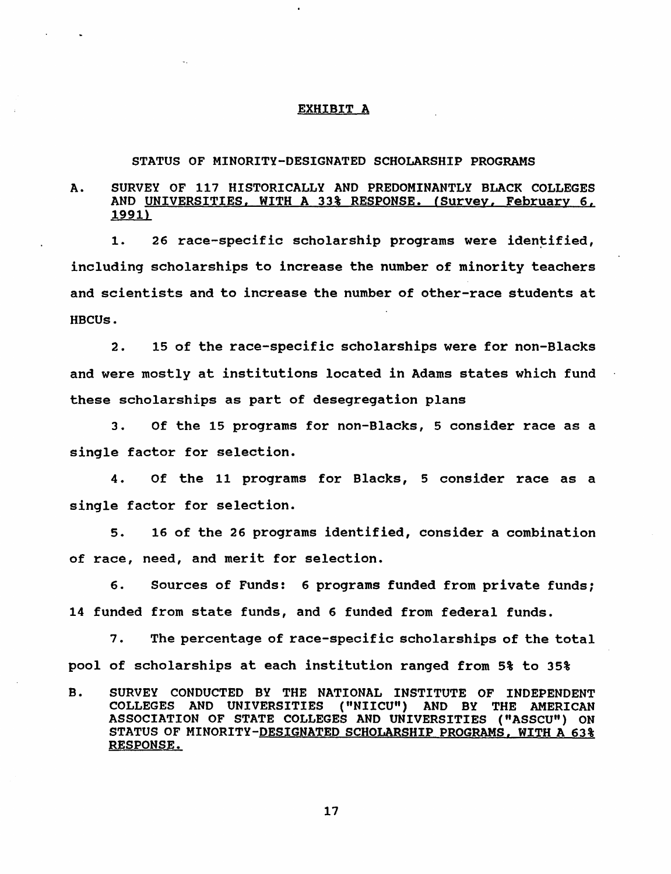#### EXHIBIT A

#### STATUS OF MINORITY-DESIGNATED SCHOLARSHIP PROGRAMS

## A. SURVEY OF 117 HISTORICALLY AND PREDOMINANTLY BLACK COLLEGES AND UNIVERSITIES, WITH A 33% RESPONSE. (Survey, February 6, 1991)

1. 26 race-specific scholarship programs were identified, including scholarships to increase the number of minority teachers and scientists and to increase the number of other-race stUdents at HBCUs.

2. 15 of the race-specific scholarships were for non-Blacks and were mostly at institutions located in Adams states which fund these scholarships as part of desegregation plans

3. Of the 15 programs for non-Blacks, 5 consider race as a single factor for selection.

4. Of the 11 programs for Blacks, 5 consider race as a single factor for selection.

s. 16 of the 26 programs identified, consider a combination of race, need, and merit for selection.

6. Sources of Funds: 6 programs funded from private funds; 14 funded from state funds, and 6 funded from federal funds.

7. The percentage of race-specific scholarships of the total pool of scholarships at each institution ranged from 5% to 35%

B. SURVEY CONDUCTED BY THE NATIONAL INSTITUTE OF INDEPENDENT COLLEGES AND UNIVERSITIES ("NIICU") AND BY THE AMERICAN ASSOCIATION OF STATE COLLEGES AND UNIVERSITIES ("ASSCU") ON STATUS OF MINORITY-DESIGNATED SCHOLARSHIP PROGRAMS, WITH A 63% RESPONSE.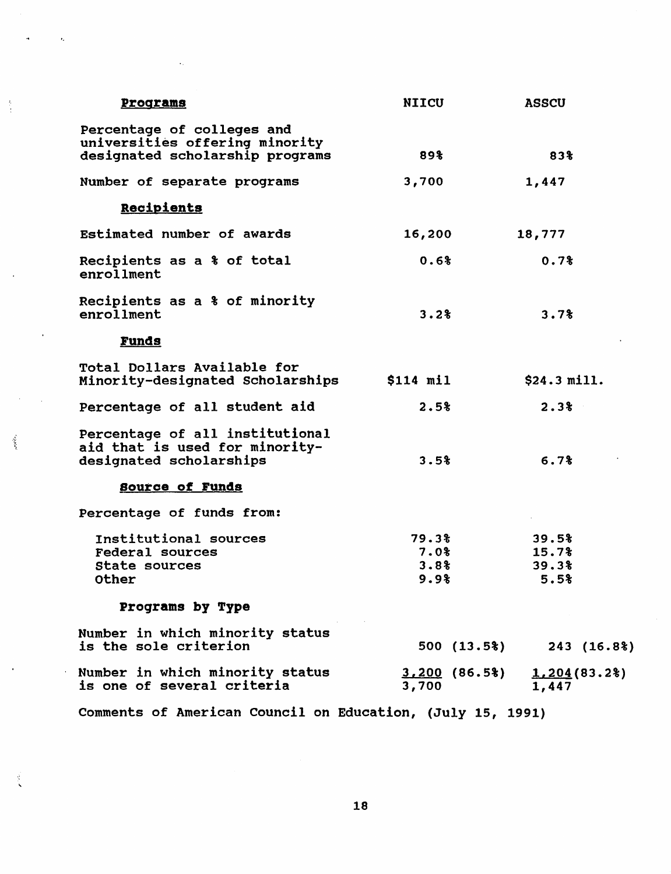| <b>Programs</b>                                                                                 | NIICU                         | <b>ASSCU</b>                    |
|-------------------------------------------------------------------------------------------------|-------------------------------|---------------------------------|
| Percentage of colleges and<br>universities offering minority<br>designated scholarship programs | 89%                           | 83%                             |
| Number of separate programs                                                                     | 3,700                         | 1,447                           |
| Recipients                                                                                      |                               |                                 |
| Estimated number of awards                                                                      | 16,200                        | 18,777                          |
| Recipients as a % of total<br>enrollment                                                        | 0.6%                          | 0.7%                            |
| Recipients as a % of minority<br>enrollment                                                     | 3.2%                          | 3.7%                            |
| <b>Funds</b>                                                                                    |                               |                                 |
| Total Dollars Available for<br>Minority-designated Scholarships                                 | $$114$ mil                    | \$24.3 mill.                    |
| Percentage of all student aid                                                                   | 2.5%                          | 2.3%                            |
| Percentage of all institutional<br>aid that is used for minority-<br>designated scholarships    | 3.5%                          | 6.7%                            |
| <b>Source of Funds</b>                                                                          |                               |                                 |
| Percentage of funds from:                                                                       |                               |                                 |
| Institutional sources<br><b>Federal sources</b><br>State sources<br><b>Other</b>                | 79.3%<br>7.0%<br>3.8%<br>9.9% | 39.5%<br>15.7%<br>39.3%<br>5.5% |
| Programs by Type                                                                                |                               |                                 |
| Number in which minority status<br>is the sole criterion                                        | 500(13.5%)                    | 243(16.8%)                      |
| Number in which minority status<br>is one of several criteria                                   | $3,200$ $(86.5%)$<br>3,700    | 1,204(83.2)<br>1,447            |
|                                                                                                 |                               |                                 |

 $\bar{Q}$ 

 $\frac{3}{4}$ 

 $\mathcal{L}_{\mathcal{D}}$ 

 $\mathbf{r}$ 

 $\frac{1}{2}$ 

comments of American council on Education, (July 15, 1991)